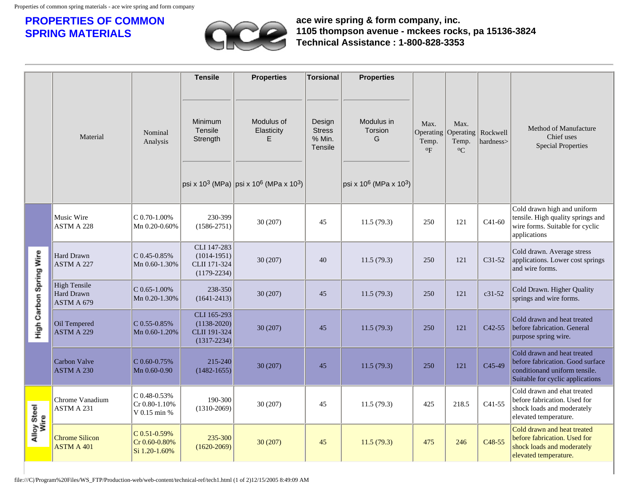## **PROPERTIES OF COMMON SPRING MATERIALS**



**ace wire spring & form company, inc. 1105 thompson avenue - mckees rocks, pa 15136-3824 Technical Assistance : 1-800-828-3353**

|                         |                                                 |                                                | <b>Tensile</b>                                                    | <b>Properties</b>                                                                                                                          | Torsional                                           | <b>Properties</b>                                                            |                                              |                                                        |                     |                                                                                                                                      |
|-------------------------|-------------------------------------------------|------------------------------------------------|-------------------------------------------------------------------|--------------------------------------------------------------------------------------------------------------------------------------------|-----------------------------------------------------|------------------------------------------------------------------------------|----------------------------------------------|--------------------------------------------------------|---------------------|--------------------------------------------------------------------------------------------------------------------------------------|
|                         | Material                                        | Nominal<br>Analysis                            | Minimum<br>Tensile<br>Strength                                    | Modulus of<br>Elasticity<br>F.<br>$ psi \rangle$ rsi x 10 <sup>3</sup> (MPa) $ psi \rangle$ rsi x 10 <sup>6</sup> (MPa x 10 <sup>3</sup> ) | Design<br><b>Stress</b><br>% Min.<br><b>Tensile</b> | Modulus in<br>Torsion<br>G<br>psi x 10 <sup>6</sup> (MPa x 10 <sup>3</sup> ) | Max.<br>Operating<br>Temp.<br>$\mathrm{o}_F$ | Max.<br>Operating   Rockwell<br>Temp.<br>${}^{\circ}C$ | hardness>           | Method of Manufacture<br>Chief uses<br><b>Special Properties</b>                                                                     |
|                         | Music Wire<br>ASTM A 228                        | $C$ 0.70-1.00%<br>Mn 0.20-0.60%                | 230-399<br>$(1586 - 2751)$                                        | 30(207)                                                                                                                                    | 45                                                  | 11.5(79.3)                                                                   | 250                                          | 121                                                    | $C41-60$            | Cold drawn high and uniform<br>tensile. High quality springs and<br>wire forms. Suitable for cyclic<br>applications                  |
| High Carbon Spring Wire | Hard Drawn<br>ASTM A 227                        | $C$ 0.45-0.85%<br>Mn 0.60-1.30%                | CLI 147-283<br>$(1014-1951)$<br>CLII 171-324<br>$(1179 - 2234)$   | 30(207)                                                                                                                                    | 40                                                  | 11.5(79.3)                                                                   | 250                                          | 121                                                    | C31-52              | Cold drawn. Average stress<br>applications. Lower cost springs<br>and wire forms.                                                    |
|                         | <b>High Tensile</b><br>Hard Drawn<br>ASTM A 679 | $C$ 0.65-1.00%<br>Mn 0.20-1.30%                | 238-350<br>$(1641 - 2413)$                                        | 30 (207)                                                                                                                                   | 45                                                  | 11.5(79.3)                                                                   | 250                                          | 121                                                    | $c31-52$            | Cold Drawn. Higher Quality<br>springs and wire forms.                                                                                |
|                         | Oil Tempered<br><b>ASTM A 229</b>               | $C$ 0.55-0.85%<br>Mn 0.60-1.20%                | CLI 165-293<br>$(1138 - 2020)$<br>CLII 191-324<br>$(1317 - 2234)$ | 30(207)                                                                                                                                    | 45                                                  | 11.5(79.3)                                                                   | 250                                          | 121                                                    | $C42-55$            | Cold drawn and heat treated<br>before fabrication. General<br>purpose spring wire.                                                   |
|                         | <b>Carbon Valve</b><br><b>ASTM A 230</b>        | $C$ 0.60-0.75%<br>Mn 0.60-0.90                 | 215-240<br>$(1482 - 1655)$                                        | 30(207)                                                                                                                                    | 45                                                  | 11.5(79.3)                                                                   | 250                                          | 121                                                    | C <sub>45</sub> -49 | Cold drawn and heat treated<br>before fabrication. Good surface<br>conditionand uniform tensile.<br>Suitable for cyclic applications |
| Alloy Steel<br>Wire     | Chrome Vanadium<br>ASTM A 231                   | C 0.48-0.53%<br>Cr 0.80-1.10%<br>V 0.15 min %  | 190-300<br>$(1310-2069)$                                          | 30(207)                                                                                                                                    | 45                                                  | 11.5(79.3)                                                                   | 425                                          | 218.5                                                  | $C41-55$            | Cold drawn and ehat treated<br>before fabrication. Used for<br>shock loads and moderately<br>elevated temperature.                   |
|                         | <b>Chrome Silicon</b><br><b>ASTM A 401</b>      | C 0.51-0.59%<br>Cr 0.60-0.80%<br>Si 1.20-1.60% | 235-300<br>$(1620 - 2069)$                                        | 30(207)                                                                                                                                    | 45                                                  | 11.5(79.3)                                                                   | 475                                          | 246                                                    | C <sub>48</sub> -55 | Cold drawn and heat treated<br>before fabrication. Used for<br>shock loads and moderately<br>elevated temperature.                   |